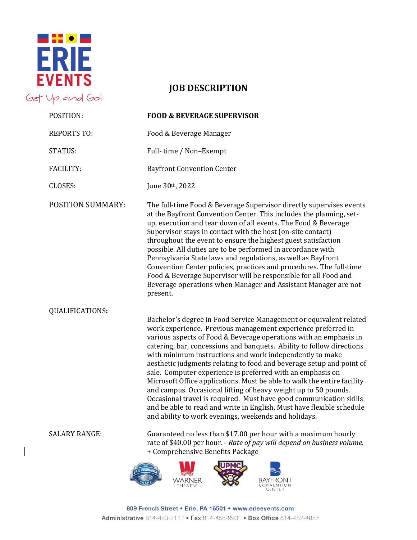

## **JOB DESCRIPTION**

| POSITION:                | <b>FOOD &amp; BEVERAGE SUPERVISOR</b>                                                                                                                                                                                                                                                                                                                                                                                                                                                                                                                                                                                                                                                                                                                                                                                                   |
|--------------------------|-----------------------------------------------------------------------------------------------------------------------------------------------------------------------------------------------------------------------------------------------------------------------------------------------------------------------------------------------------------------------------------------------------------------------------------------------------------------------------------------------------------------------------------------------------------------------------------------------------------------------------------------------------------------------------------------------------------------------------------------------------------------------------------------------------------------------------------------|
| <b>REPORTS TO:</b>       | Food & Beverage Manager                                                                                                                                                                                                                                                                                                                                                                                                                                                                                                                                                                                                                                                                                                                                                                                                                 |
| <b>STATUS:</b>           | Full-time / Non-Exempt                                                                                                                                                                                                                                                                                                                                                                                                                                                                                                                                                                                                                                                                                                                                                                                                                  |
| <b>FACILITY:</b>         | <b>Bayfront Convention Center</b>                                                                                                                                                                                                                                                                                                                                                                                                                                                                                                                                                                                                                                                                                                                                                                                                       |
| <b>CLOSES:</b>           | June 30th, 2022                                                                                                                                                                                                                                                                                                                                                                                                                                                                                                                                                                                                                                                                                                                                                                                                                         |
| <b>POSITION SUMMARY:</b> | The full-time Food & Beverage Supervisor directly supervises events<br>at the Bayfront Convention Center. This includes the planning, set-<br>up, execution and tear down of all events. The Food & Beverage<br>Supervisor stays in contact with the host (on-site contact)<br>throughout the event to ensure the highest guest satisfaction<br>possible. All duties are to be performed in accordance with<br>Pennsylvania State laws and regulations, as well as Bayfront<br>Convention Center policies, practices and procedures. The full-time<br>Food & Beverage Supervisor will be responsible for all Food and<br>Beverage operations when Manager and Assistant Manager are not<br>present.                                                                                                                                     |
| <b>QUALIFICATIONS:</b>   | Bachelor's degree in Food Service Management or equivalent related<br>work experience. Previous management experience preferred in<br>various aspects of Food & Beverage operations with an emphasis in<br>catering, bar, concessions and banquets. Ability to follow directions<br>with minimum instructions and work independently to make<br>aesthetic judgments relating to food and beverage setup and point of<br>sale. Computer experience is preferred with an emphasis on<br>Microsoft Office applications. Must be able to walk the entire facility<br>and campus. Occasional lifting of heavy weight up to 50 pounds.<br>Occasional travel is required. Must have good communication skills<br>and be able to read and write in English. Must have flexible schedule<br>and ability to work evenings, weekends and holidays. |
| <b>SALARY RANGE:</b>     | Guaranteed no less than \$17.00 per hour with a maximum hourly<br>rate of \$40.00 per hour. - Rate of pay will depend on business volume.<br>+ Comprehensive Benefits Package                                                                                                                                                                                                                                                                                                                                                                                                                                                                                                                                                                                                                                                           |
|                          | ≺NER                                                                                                                                                                                                                                                                                                                                                                                                                                                                                                                                                                                                                                                                                                                                                                                                                                    |

809 French Street . Erie, PA 16501 . www.erieevents.com Administrative 814-453-7117 • Fax 814-455-9931 • Box Office 814-452-4857